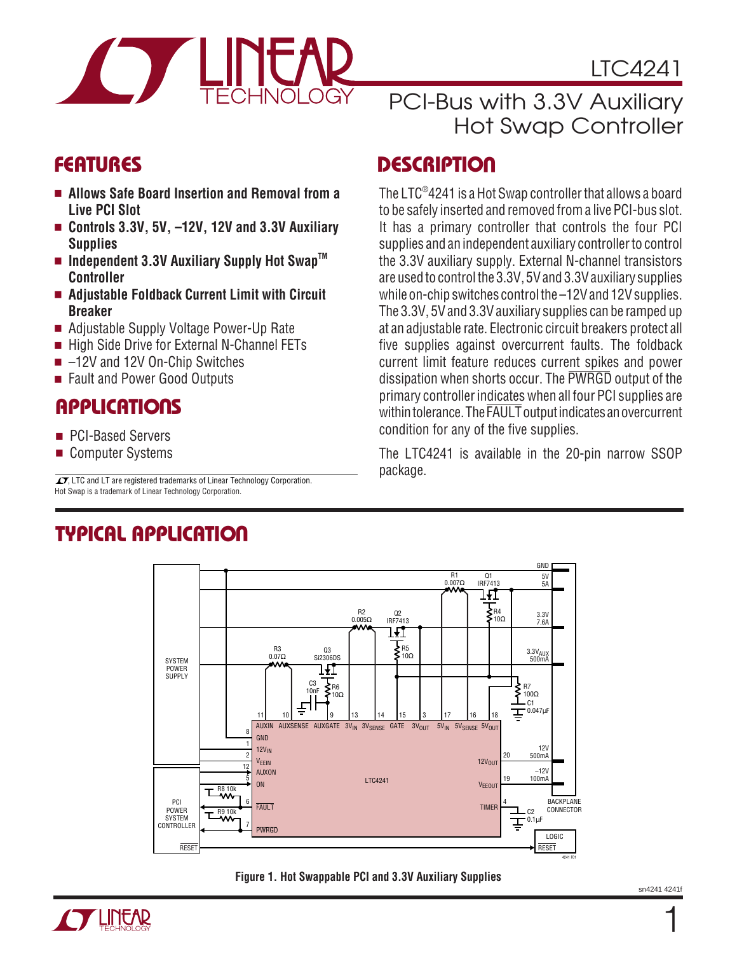

### **FEATURES**

- **Allows Safe Board Insertion and Removal from a Live PCI Slot**
- **Controls 3.3V, 5V, -12V, 12V and 3.3V Auxiliary Supplies**
- **Independent 3.3V Auxiliary Supply Hot Swap**™ **Controller**
- **Adjustable Foldback Current Limit with Circuit Breaker**
- Adjustable Supply Voltage Power-Up Rate
- High Side Drive for External N-Channel FETs
- –12V and 12V On-Chip Switches
- Fault and Power Good Outputs

### **APPLICATIONS**

- PCI-Based Servers
- Computer Systems

Hot Swap is a trademark of Linear Technology Corporation.

### PCI-Bus with 3.3V Auxiliary Hot Swap Controller

### **DESCRIPTION**

The LTC®4241 is a Hot Swap controller that allows a board to be safely inserted and removed from a live PCI-bus slot. It has a primary controller that controls the four PCI supplies and an independent auxiliary controller to control the 3.3V auxiliary supply. External N-channel transistors are used to control the 3.3V, 5V and 3.3V auxiliary supplies while on-chip switches control the –12V and 12V supplies. The 3.3V, 5V and 3.3V auxiliary supplies can be ramped up at an adjustable rate. Electronic circuit breakers protect all five supplies against overcurrent faults. The foldback current limit feature reduces current spikes and power dissipation when shorts occur. The PWRGD output of the primary controller indicates when all four PCI supplies are within tolerance. The FAULT output indicates an overcurrent condition for any of the five supplies.

The LTC4241 is available in the 20-pin narrow SSOP



#### **Figure 1. Hot Swappable PCI and 3.3V Auxiliary Supplies**

# $\sqrt{\frac{1}{\pi}}$ , LTC and LT are registered trademarks of Linear Technology Corporation.  $\sqrt{\frac{1}{\pi}}$  package.

### **TYPICAL APPLICATION**



1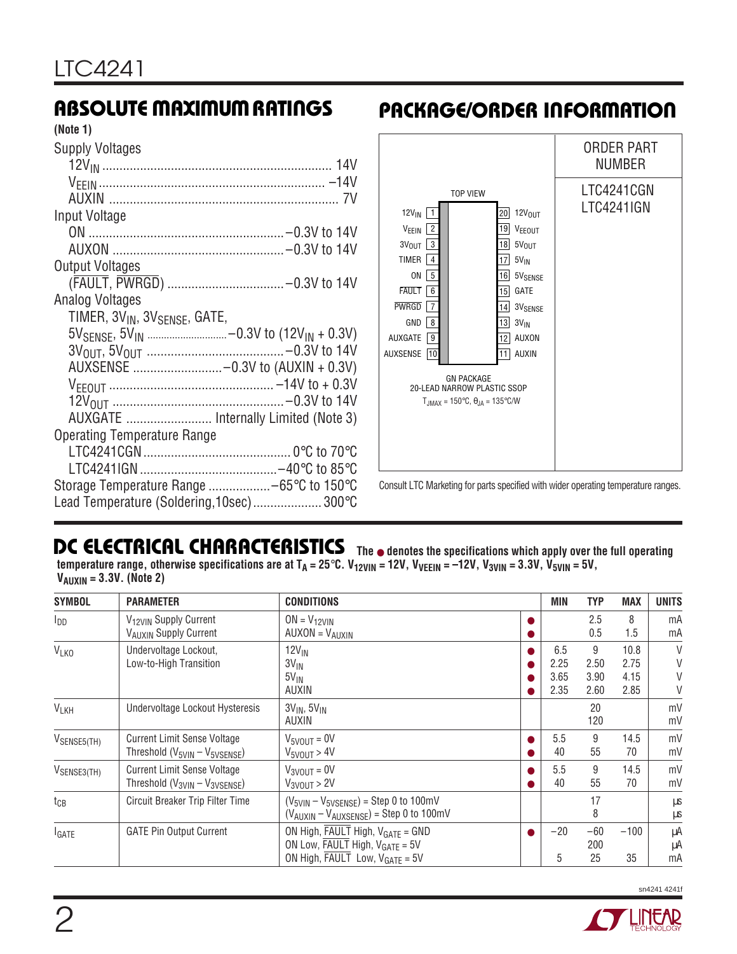#### **(Note 1)**

| <b>Supply Voltages</b>                                |                                      |
|-------------------------------------------------------|--------------------------------------|
|                                                       |                                      |
|                                                       |                                      |
|                                                       |                                      |
| Input Voltage                                         |                                      |
|                                                       |                                      |
|                                                       |                                      |
| Output Voltages                                       |                                      |
|                                                       |                                      |
| Analog Voltages                                       |                                      |
| TIMER, 3V <sub>IN</sub> , 3V <sub>SENSE</sub> , GATE, |                                      |
|                                                       |                                      |
|                                                       |                                      |
|                                                       |                                      |
|                                                       |                                      |
|                                                       |                                      |
|                                                       | AUXGATE  Internally Limited (Note 3) |
| Operating Temperature Range                           |                                      |
|                                                       |                                      |
|                                                       |                                      |
| Storage Temperature Range -65°C to 150°C              |                                      |
| Lead Temperature (Soldering, 10sec) 300°C             |                                      |
|                                                       |                                      |

### **ABSOLUTE MAXIMUM RATINGS PACKAGE/ORDER INFORMATION**



Consult LTC Marketing for parts specified with wider operating temperature ranges.

### **DC ELECTRICAL CHARACTERISTICS**

**The** ● **denotes the specifications which apply over the full operating** temperature range, otherwise specifications are at T<sub>A</sub> = 25°C. V<sub>12VIN</sub> = 12V, V<sub>VEEIN</sub> = –12V, V<sub>3VIN</sub> = 3.3V, V<sub>5VIN</sub> = 5V, **VAUXIN = 3.3V. (Note 2)**

| <b>SYMBOL</b>           | <b>PARAMETER</b>                                                           | <b>CONDITIONS</b>                                                                                                                | <b>MIN</b>                  | <b>TYP</b>                | <b>MAX</b>                   | <b>UNITS</b>     |
|-------------------------|----------------------------------------------------------------------------|----------------------------------------------------------------------------------------------------------------------------------|-----------------------------|---------------------------|------------------------------|------------------|
| $I_{DD}$                | V <sub>12VIN</sub> Supply Current<br>VAUXIN Supply Current                 | $ON = V12VIN$<br>$AUXON = V_{AUXIN}$                                                                                             |                             | 2.5<br>0.5                | 8<br>1.5                     | mA<br>mA         |
| <b>VLKO</b>             | Undervoltage Lockout,<br>Low-to-High Transition                            | $12V_{IN}$<br>$3V_{IN}$<br>$5V_{IN}$<br><b>AUXIN</b>                                                                             | 6.5<br>2.25<br>3.65<br>2.35 | 9<br>2.50<br>3.90<br>2.60 | 10.8<br>2.75<br>4.15<br>2.85 | V<br>V<br>V<br>V |
| <b>VLKH</b>             | Undervoltage Lockout Hysteresis                                            | $3V_{IN}$ , $5V_{IN}$<br>AUXIN                                                                                                   |                             | 20<br>120                 |                              | mV<br>mV         |
| V <sub>SENSE5(TH)</sub> | <b>Current Limit Sense Voltage</b><br>Threshold $(V_{5VIN} - V_{5VSENSE})$ | $V_{5VOUT} = 0V$<br>$V_{5VOUT} > 4V$                                                                                             | 5.5<br>40                   | 9<br>55                   | 14.5<br>70                   | mV<br>mV         |
| VSENSE3(TH)             | <b>Current Limit Sense Voltage</b><br>Threshold $(V_{3VIN} - V_{3VSENSE})$ | $V_{3VOUT} = 0V$<br>$V_{3VOUT} > 2V$                                                                                             | 5.5<br>40                   | 9<br>55                   | 14.5<br>70                   | mV<br>mV         |
| $t_{CB}$                | Circuit Breaker Trip Filter Time                                           | $(V_{5VIN} - V_{5VSENSE})$ = Step 0 to 100mV<br>$(V_{AUXIN} - V_{AUXSENSE}) =$ Step 0 to 100mV                                   |                             | 17<br>8                   |                              | μS<br>μS         |
| <b>IGATE</b>            | <b>GATE Pin Output Current</b>                                             | ON High, FAULT High, $V_{GATE} = GND$<br>ON Low, FAULT High, $V_{GATE} = 5V$<br>ON High, $\overline{FAULT}$ Low, $V_{GATE} = 5V$ | $-20$<br>5                  | $-60$<br>200<br>25        | $-100$<br>35                 | μA<br>μA<br>mA   |

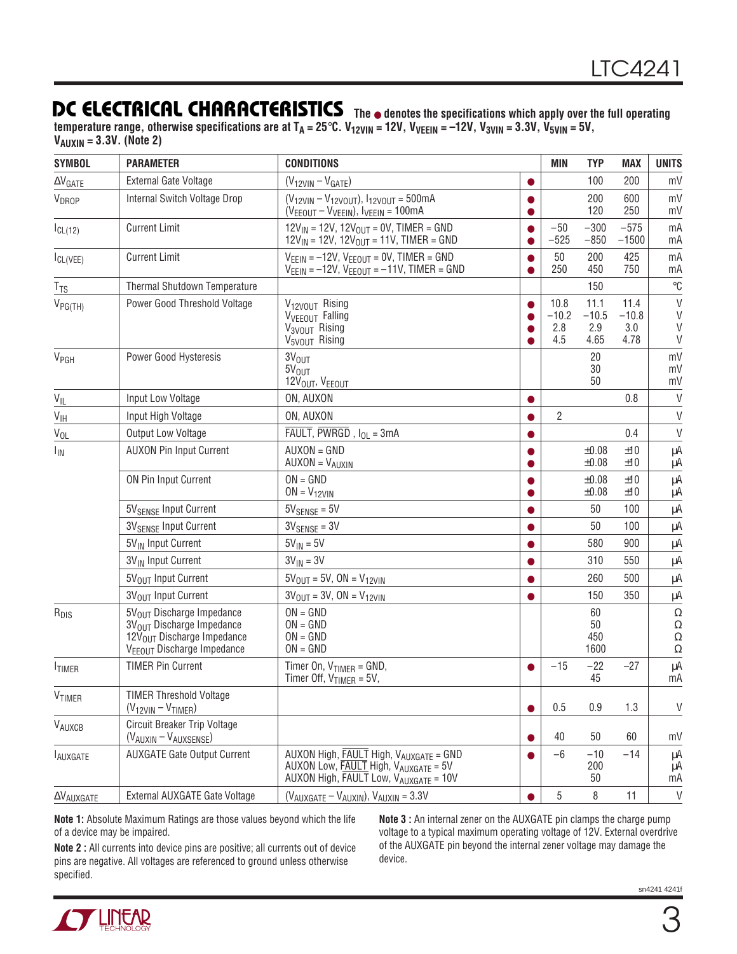### **DC ELECTRICAL CHARACTERISTICS The** ● **denotes the specifications which apply over the full operating**

temperature range, otherwise specifications are at T<sub>A</sub> = 25°C. V<sub>12VIN</sub> = 12V, V<sub>VEEIN</sub> = –12V, V<sub>3VIN</sub> = 3.3V, V<sub>5VIN</sub> = 5V, **VAUXIN = 3.3V. (Note 2)**

| <b>SYMBOL</b>               | <b>PARAMETER</b>                                                                                                                              | <b>CONDITIONS</b>                                                                                                       |           | <b>MIN</b>                    | <b>TYP</b>                     | <b>MAX</b>                     | <b>UNITS</b>            |
|-----------------------------|-----------------------------------------------------------------------------------------------------------------------------------------------|-------------------------------------------------------------------------------------------------------------------------|-----------|-------------------------------|--------------------------------|--------------------------------|-------------------------|
| $\Delta V$ GATE             | External Gate Voltage                                                                                                                         | $(V12VIN - VGATE)$                                                                                                      |           |                               | 100                            | 200                            | mV                      |
| V <sub>DROP</sub>           | Internal Switch Voltage Drop                                                                                                                  | $(V_{12VIN} - V_{12VOUT})$ , $I_{12VOUT} = 500mA$<br>$(V_{EEOUT} - V_{VEEIN})$ , $V_{VEEIN} = 100mA$                    |           |                               | 200<br>120                     | 600<br>250                     | mV<br>mV                |
| $I_{CL(12)}$                | <b>Current Limit</b>                                                                                                                          | $12V_{IN} = 12V$ , $12V_{OUT} = 0V$ , TIMER = GND<br>$12V_{IN} = 12V$ , $12V_{OUT} = 11V$ , TIMER = GND                 | O         | $-50$<br>$-525$               | $-300$<br>$-850$               | $-575$<br>$-1500$              | mA<br>mA                |
| $I_{CL(VEE)}$               | <b>Current Limit</b>                                                                                                                          | $V_{EEIN} = -12V$ , $V_{EEOUT} = 0V$ , TIMER = GND<br>$V_{EEIN} = -12V$ , $V_{EEOUT} = -11V$ , TIMER = GND              |           | 50<br>250                     | 200<br>450                     | 425<br>750                     | mA<br>mA                |
| $T_{TS}$                    | Thermal Shutdown Temperature                                                                                                                  |                                                                                                                         |           |                               | 150                            |                                | $^{\circ}{\rm C}$       |
| $V_{PG(TH)}$                | Power Good Threshold Voltage                                                                                                                  | V <sub>12VOUT</sub> Rising<br>V <sub>VEEOUT</sub> Falling<br>V <sub>3VOUT</sub> Rising<br>V <sub>5VOUT</sub> Rising     |           | 10.8<br>$-10.2$<br>2.8<br>4.5 | 11.1<br>$-10.5$<br>2.9<br>4.65 | 11.4<br>$-10.8$<br>3.0<br>4.78 | V<br>V<br>V<br>V        |
| V <sub>PGH</sub>            | Power Good Hysteresis                                                                                                                         | $3V_{\text{OUT}}$<br>5V <sub>OUT</sub><br>12VOUT, VEEOUT                                                                |           |                               | 20<br>30<br>50                 |                                | mV<br>mV<br>mV          |
| $V_{IL}$                    | Input Low Voltage                                                                                                                             | ON, AUXON                                                                                                               |           |                               |                                | 0.8                            | $\vee$                  |
| $V_{\text{IH}}$             | Input High Voltage                                                                                                                            | ON, AUXON                                                                                                               |           | $\overline{2}$                |                                |                                | $\vee$                  |
| $V_{OL}$                    | Output Low Voltage                                                                                                                            | FAULT, PWRGD, $I_{OL} = 3mA$                                                                                            |           |                               |                                | 0.4                            | $\vee$                  |
| $I_{\text{IN}}$             | <b>AUXON Pin Input Current</b>                                                                                                                | $AUXON = GND$<br>$AUXON = VAUXIN$                                                                                       |           |                               | $\pm 0.08$<br>±0.08            | ±10<br>±10                     | μA<br>μA                |
|                             | ON Pin Input Current                                                                                                                          | $ON = GND$<br>$ON = V_{12VIN}$                                                                                          |           |                               | $\pm 0.08$<br>±0.08            | ±10<br>±10                     | μA<br>μA                |
|                             | 5V <sub>SENSE</sub> Input Current                                                                                                             | $5V_{SENSE} = 5V$                                                                                                       |           |                               | 50                             | 100                            | μA                      |
|                             | 3V <sub>SENSE</sub> Input Current                                                                                                             | $3V_{SENSE} = 3V$                                                                                                       |           |                               | 50                             | 100                            | μA                      |
|                             | 5V <sub>IN</sub> Input Current                                                                                                                | $5V_{IN} = 5V$                                                                                                          |           |                               | 580                            | 900                            | μA                      |
|                             | 3V <sub>IN</sub> Input Current                                                                                                                | $3V_{IN} = 3V$                                                                                                          |           |                               | 310                            | 550                            | μA                      |
|                             | 5V <sub>OUT</sub> Input Current                                                                                                               | $5V_{OUT} = 5V$ , $ON = V_{12VIN}$                                                                                      |           |                               | 260                            | 500                            | μA                      |
|                             | 3V <sub>OUT</sub> Input Current                                                                                                               | $3V_{OUIT} = 3V$ , $ON = V_{12VIN}$                                                                                     |           |                               | 150                            | 350                            | μA                      |
| R <sub>DIS</sub>            | 5V <sub>OUT</sub> Discharge Impedance<br>$3VOIII$ Discharge Impedance<br>12VOUT Discharge Impedance<br>V <sub>EEOUT</sub> Discharge Impedance | $ON = GND$<br>$ON = GND$<br>$ON = GND$<br>$ON = GND$                                                                    |           |                               | 60<br>50<br>450<br>1600        |                                | Ω<br>Ω<br>$\Omega$<br>Ω |
| <b>ITIMER</b>               | <b>TIMER Pin Current</b>                                                                                                                      | Timer On, $V_{TIMER} = GND$ ,<br>Timer Off, $V_{TIMER} = 5V$ ,                                                          |           | $-15$                         | $-22$<br>45                    | $-27$                          | μA<br>mA                |
| $V_{\sf TIMER}$             | <b>TIMER Threshold Voltage</b><br>$(V12VIN - VTIMER)$                                                                                         |                                                                                                                         | $\bullet$ | 0.5                           | 0.9                            | 1.3                            | $\mathsf{V}$            |
| VAUXCB                      | Circuit Breaker Trip Voltage<br>$(V_{AUXIN} - V_{AUXSENSE})$                                                                                  |                                                                                                                         |           | 40                            | 50                             | 60                             | mV                      |
| <b>LAUXGATE</b>             | <b>AUXGATE Gate Output Current</b>                                                                                                            | AUXON High, FAULT High, VAUXGATE = GND<br>AUXON Low, FAULT High, VAUXGATE = 5V<br>AUXON High, FAULT Low, VAUXGATE = 10V |           | $-6$                          | $-10$<br>200<br>50             | $-14$                          | μA<br>μA<br>mA          |
| $\Delta V_{\text{AUXGATE}}$ | External AUXGATE Gate Voltage                                                                                                                 | $(V_{AUXGATE} - V_{AUXIN})$ , $V_{AUXIN} = 3.3V$                                                                        |           | 5                             | 8                              | 11                             | $\vee$                  |

**Note 1:** Absolute Maximum Ratings are those values beyond which the life of a device may be impaired.

**Note 2 :** All currents into device pins are positive; all currents out of device pins are negative. All voltages are referenced to ground unless otherwise specified.

**Note 3 :** An internal zener on the AUXGATE pin clamps the charge pump voltage to a typical maximum operating voltage of 12V. External overdrive of the AUXGATE pin beyond the internal zener voltage may damage the device.

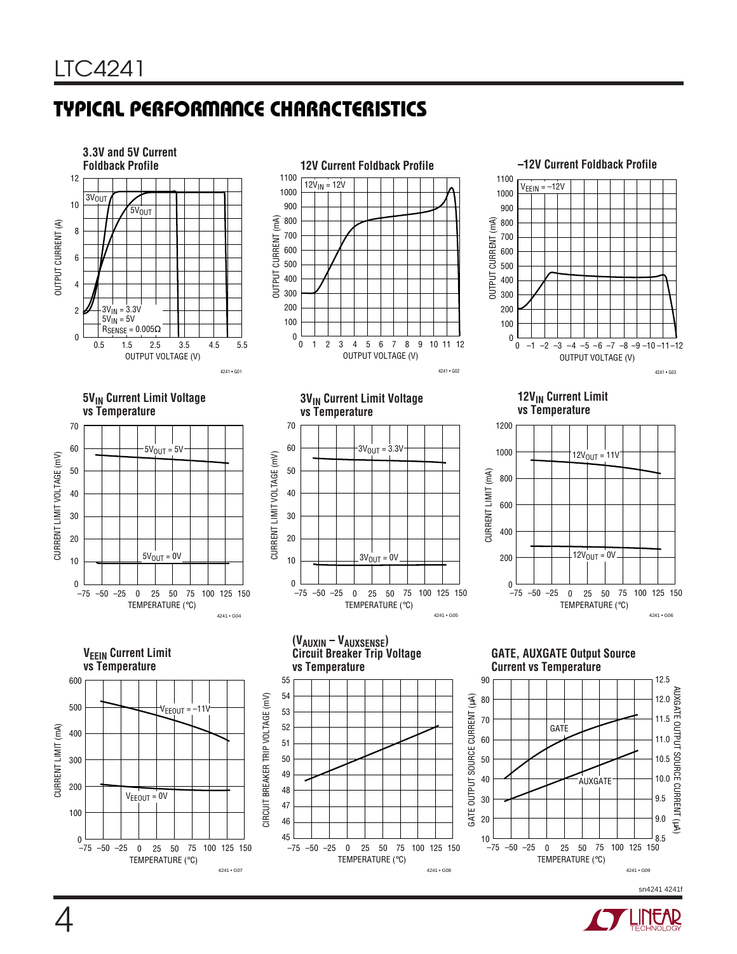### **TYPICAL PERFORMANCE CHARACTERISTICS**



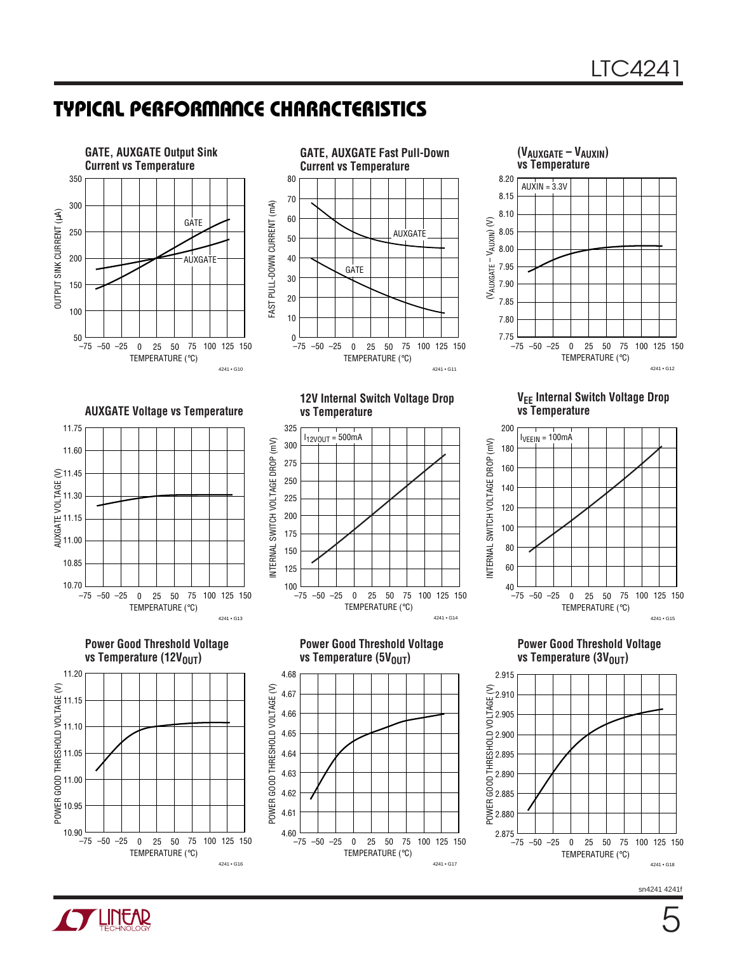### **TYPICAL PERFORMANCE CHARACTERISTICS**







**AUXGATE Voltage vs Temperature**



**Power Good Threshold Voltage vs Temperature (12V<sub>OUT</sub>)** 



**12V Internal Switch Voltage Drop vs Temperature**



**Power Good Threshold Voltage vs Temperature (5V<sub>OUT</sub>)** 



**VEE Internal Switch Voltage Drop vs Temperature**



**Power Good Threshold Voltage vs Temperature (3V<sub>OUT</sub>)** 



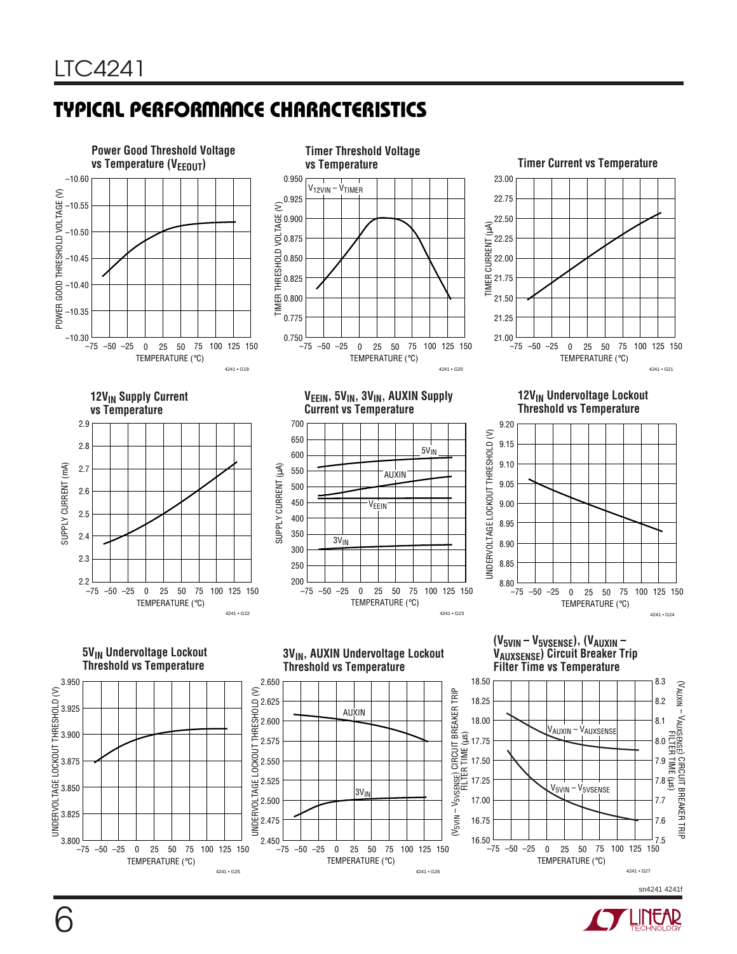### **TYPICAL PERFORMANCE CHARACTERISTICS**



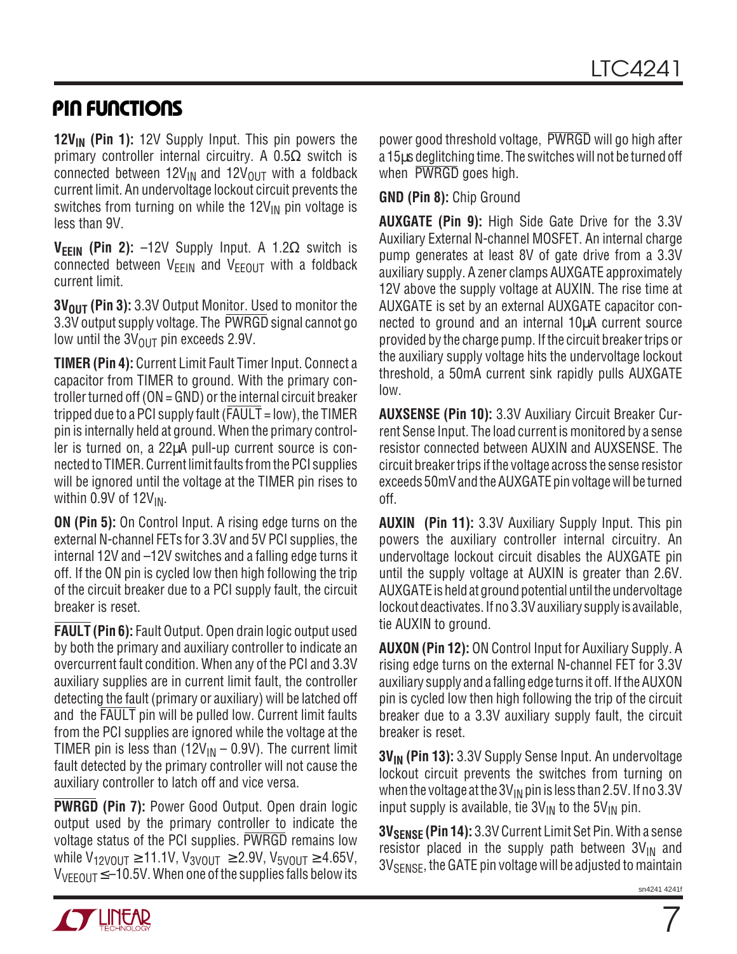### **PIN FUNCTIONS**

**12V<sub>IN</sub>** (Pin 1): 12V Supply Input. This pin powers the primary controller internal circuitry. A  $0.5\Omega$  switch is connected between  $12V_{IN}$  and  $12V_{OUIT}$  with a foldback current limit. An undervoltage lockout circuit prevents the switches from turning on while the  $12V_{\text{IN}}$  pin voltage is less than 9V.

**VEEIN (Pin 2):** –12V Supply Input. A 1.2Ω switch is connected between  $V_{FFIN}$  and  $V_{FFOUT}$  with a foldback current limit.

**3V<sub>OUT</sub> (Pin 3):** 3.3V Output Monitor. Used to monitor the 3.3V output supply voltage. The PWRGD signal cannot go low until the  $3V_{OUT}$  pin exceeds 2.9V.

**TIMER (Pin 4):** Current Limit Fault Timer Input. Connect a capacitor from TIMER to ground. With the primary controller turned off (ON = GND) or the internal circuit breaker tripped due to a PCI supply fault ( $\overline{FAULT}$  = low), the TIMER pin is internally held at ground. When the primary controller is turned on, a 22µA pull-up current source is connected to TIMER. Current limit faults from the PCI supplies will be ignored until the voltage at the TIMER pin rises to within 0.9V of 12V<sub>IN</sub>.

**ON (Pin 5):** On Control Input. A rising edge turns on the external N-channel FETs for 3.3V and 5V PCI supplies, the internal 12V and –12V switches and a falling edge turns it off. If the ON pin is cycled low then high following the trip of the circuit breaker due to a PCI supply fault, the circuit breaker is reset.

**FAULT (Pin 6):** Fault Output. Open drain logic output used by both the primary and auxiliary controller to indicate an overcurrent fault condition. When any of the PCI and 3.3V auxiliary supplies are in current limit fault, the controller detecting the fault (primary or auxiliary) will be latched off and the FAULT pin will be pulled low. Current limit faults from the PCI supplies are ignored while the voltage at the TIMER pin is less than  $(12V_{IN} - 0.9V)$ . The current limit fault detected by the primary controller will not cause the auxiliary controller to latch off and vice versa.

**PWRGD (Pin 7):** Power Good Output. Open drain logic output used by the primary controller to indicate the voltage status of the PCI supplies. PWRGD remains low while  $V_{12V0U} \ge 11.1V$ ,  $V_{3V0U} \ge 2.9V$ ,  $V_{5V0U} \ge 4.65V$ ,  $V_{VFFOUT} \le -10.5V$ . When one of the supplies falls below its power good threshold voltage, PWRGD will go high after a 15µs deglitching time. The switches will not be turned off when PWRGD goes high.

**GND (Pin 8):** Chip Ground

**AUXGATE (Pin 9):** High Side Gate Drive for the 3.3V Auxiliary External N-channel MOSFET. An internal charge pump generates at least 8V of gate drive from a 3.3V auxiliary supply. A zener clamps AUXGATE approximately 12V above the supply voltage at AUXIN. The rise time at AUXGATE is set by an external AUXGATE capacitor connected to ground and an internal 10µA current source provided by the charge pump. If the circuit breaker trips or the auxiliary supply voltage hits the undervoltage lockout threshold, a 50mA current sink rapidly pulls AUXGATE low.

**AUXSENSE (Pin 10):** 3.3V Auxiliary Circuit Breaker Current Sense Input. The load current is monitored by a sense resistor connected between AUXIN and AUXSENSE. The circuit breaker trips if the voltage across the sense resistor exceeds 50mV and the AUXGATE pin voltage will be turned off.

**AUXIN (Pin 11):** 3.3V Auxiliary Supply Input. This pin powers the auxiliary controller internal circuitry. An undervoltage lockout circuit disables the AUXGATE pin until the supply voltage at AUXIN is greater than 2.6V. AUXGATE is held at ground potential until the undervoltage lockout deactivates. If no 3.3V auxiliary supply is available, tie AUXIN to ground.

**AUXON (Pin 12):** ON Control Input for Auxiliary Supply. A rising edge turns on the external N-channel FET for 3.3V auxiliary supply and a falling edge turns it off. If the AUXON pin is cycled low then high following the trip of the circuit breaker due to a 3.3V auxiliary supply fault, the circuit breaker is reset.

**3V<sub>IN</sub>** (Pin 13): 3.3V Supply Sense Input. An undervoltage lockout circuit prevents the switches from turning on when the voltage at the  $3V_{IN}$  pin is less than 2.5V. If no 3.3V input supply is available, tie  $3V_{IN}$  to the  $5V_{IN}$  pin.

**3V**SENSE (Pin 14): 3.3V Current Limit Set Pin. With a sense resistor placed in the supply path between  $3V_{IN}$  and  $3V<sub>SENSE</sub>$ , the GATE pin voltage will be adjusted to maintain

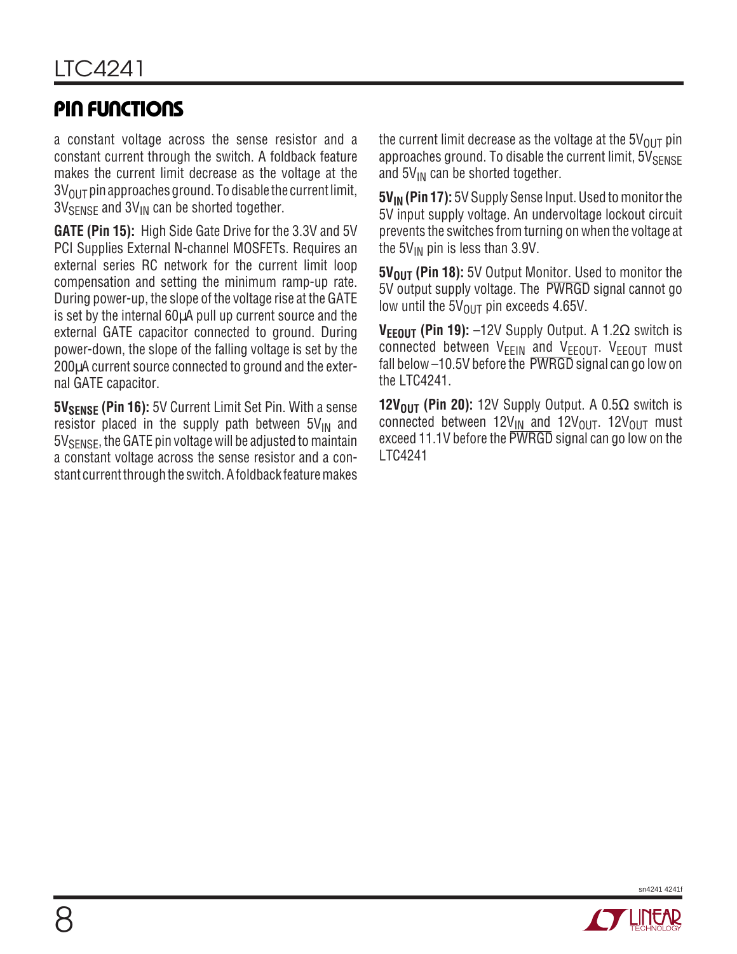### **PIN FUNCTIONS**

a constant voltage across the sense resistor and a constant current through the switch. A foldback feature makes the current limit decrease as the voltage at the  $3V<sub>OUT</sub>$  pin approaches ground. To disable the current limit,  $3V_{\text{SENSF}}$  and  $3V_{\text{IN}}$  can be shorted together.

**GATE (Pin 15):** High Side Gate Drive for the 3.3V and 5V PCI Supplies External N-channel MOSFETs. Requires an external series RC network for the current limit loop compensation and setting the minimum ramp-up rate. During power-up, the slope of the voltage rise at the GATE is set by the internal 60µA pull up current source and the external GATE capacitor connected to ground. During power-down, the slope of the falling voltage is set by the 200µA current source connected to ground and the external GATE capacitor.

**5V**SENSE (Pin 16): 5V Current Limit Set Pin. With a sense resistor placed in the supply path between  $5V_{IN}$  and  $5V_{\text{SENSE}}$ , the GATE pin voltage will be adjusted to maintain a constant voltage across the sense resistor and a constant current through the switch. A foldback feature makes the current limit decrease as the voltage at the  $5V<sub>OUT</sub>$  pin approaches ground. To disable the current limit,  $5V_{\text{SFNSF}}$ and  $5V_{IN}$  can be shorted together.

**5V<sub>IN</sub>** (Pin 17): 5V Supply Sense Input. Used to monitor the 5V input supply voltage. An undervoltage lockout circuit prevents the switches from turning on when the voltage at the  $5V_{IN}$  pin is less than 3.9V.

**5V<sub>OUT</sub>** (Pin 18): 5V Output Monitor. Used to monitor the 5V output supply voltage. The PWRGD signal cannot go low until the  $5V<sub>OUT</sub>$  pin exceeds 4.65V.

**VEEOUT (Pin 19):** –12V Supply Output. A 1.2Ω switch is connected between  $V_{FFIN}$  and  $V_{FFOUIT}$ . V<sub>FFOUT</sub> must fall below  $-10.5V$  before the PWRGD signal can go low on the LTC4241.

**12V<sub>OUT</sub>** (Pin 20): 12V Supply Output. A 0.5 $\Omega$  switch is connected between  $12V_{IN}$  and  $12V_{OUT}$ .  $12V_{OUT}$  must exceed 11.1V before the PWRGD signal can go low on the LTC4241



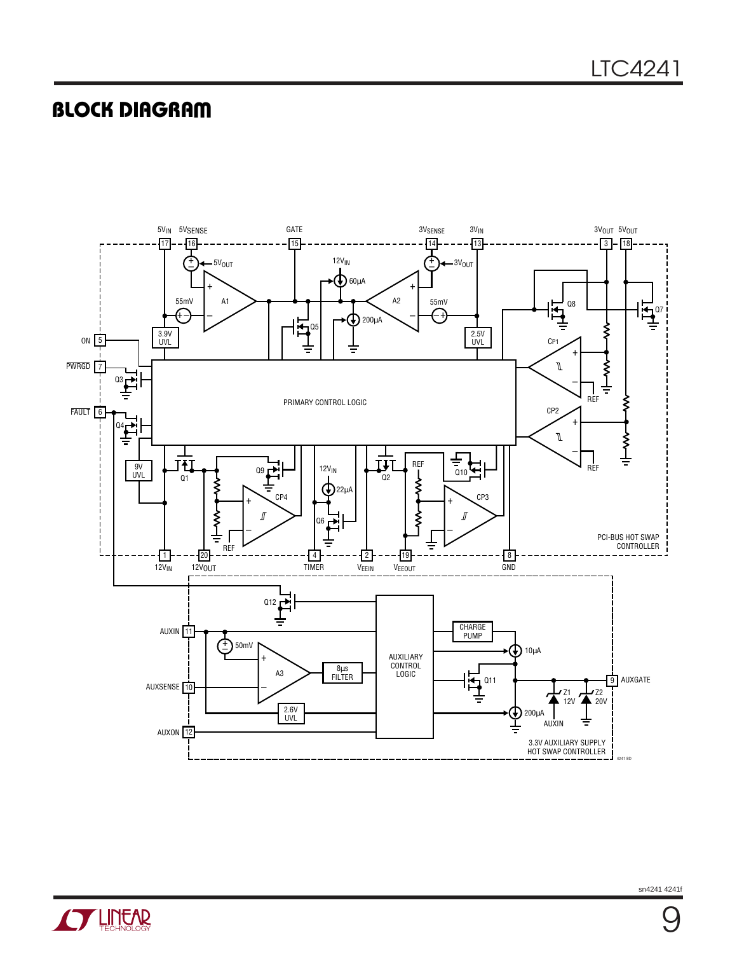### **BLOCK DIAGRAM**



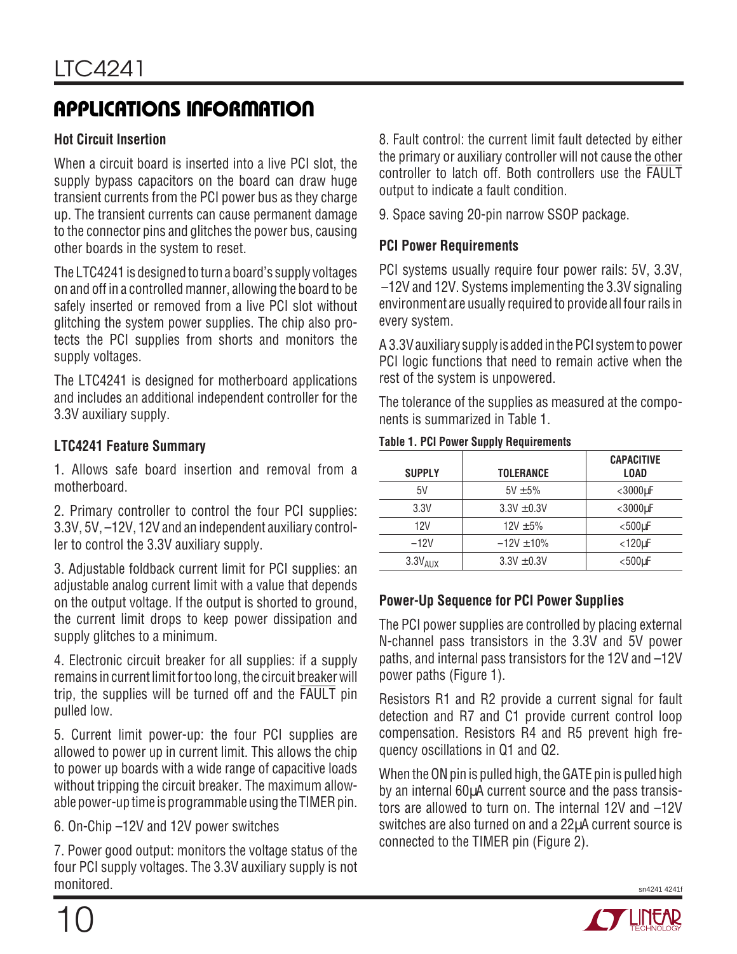#### **Hot Circuit Insertion**

When a circuit board is inserted into a live PCI slot, the supply bypass capacitors on the board can draw huge transient currents from the PCI power bus as they charge up. The transient currents can cause permanent damage to the connector pins and glitches the power bus, causing other boards in the system to reset.

The LTC4241 is designed to turn a board's supply voltages on and off in a controlled manner, allowing the board to be safely inserted or removed from a live PCI slot without glitching the system power supplies. The chip also protects the PCI supplies from shorts and monitors the supply voltages.

The LTC4241 is designed for motherboard applications and includes an additional independent controller for the 3.3V auxiliary supply.

#### **LTC4241 Feature Summary**

1. Allows safe board insertion and removal from a motherboard.

2. Primary controller to control the four PCI supplies: 3.3V, 5V, –12V, 12V and an independent auxiliary controller to control the 3.3V auxiliary supply.

3. Adjustable foldback current limit for PCI supplies: an adjustable analog current limit with a value that depends on the output voltage. If the output is shorted to ground, the current limit drops to keep power dissipation and supply glitches to a minimum.

4. Electronic circuit breaker for all supplies: if a supply remains in current limit for too long, the circuit breaker will trip, the supplies will be turned off and the FAULT pin pulled low.

5. Current limit power-up: the four PCI supplies are allowed to power up in current limit. This allows the chip to power up boards with a wide range of capacitive loads without tripping the circuit breaker. The maximum allowable power-up time is programmable using the TIMER pin.

6. On-Chip –12V and 12V power switches

7. Power good output: monitors the voltage status of the four PCI supply voltages. The 3.3V auxiliary supply is not monitored.

8. Fault control: the current limit fault detected by either the primary or auxiliary controller will not cause the other controller to latch off. Both controllers use the FAULT output to indicate a fault condition.

9. Space saving 20-pin narrow SSOP package.

#### **PCI Power Requirements**

PCI systems usually require four power rails: 5V, 3.3V, –12V and 12V. Systems implementing the 3.3V signaling environment are usually required to provide all four rails in every system.

A 3.3V auxiliary supply is added in the PCI system to power PCI logic functions that need to remain active when the rest of the system is unpowered.

The tolerance of the supplies as measured at the components is summarized in Table 1.

| <b>SUPPLY</b> | <b>TOLERANCE</b> | <b>CAPACITIVE</b><br><b>LOAD</b> |
|---------------|------------------|----------------------------------|
| 5V            | $5V \pm 5%$      | $<$ 3000 $\mu$ F                 |
| 3.3V          | $3.3V \pm 0.3V$  | $<$ 3000 $\mu$ F                 |
| 12V           | $12V \pm 5%$     | $<$ 500 $\mu$ F                  |
| $-12V$        | $-12V \pm 10\%$  | $<$ 120 $\mu$ F                  |
| $3.3V_{AUX}$  | $3.3V \pm 0.3V$  | $<$ 500 $\mu$ F                  |

#### **Table 1. PCI Power Supply Requirements**

#### **Power-Up Sequence for PCI Power Supplies**

The PCI power supplies are controlled by placing external N-channel pass transistors in the 3.3V and 5V power paths, and internal pass transistors for the 12V and –12V power paths (Figure 1).

Resistors R1 and R2 provide a current signal for fault detection and R7 and C1 provide current control loop compensation. Resistors R4 and R5 prevent high frequency oscillations in Q1 and Q2.

When the ON pin is pulled high, the GATE pin is pulled high by an internal 60µA current source and the pass transistors are allowed to turn on. The internal 12V and –12V switches are also turned on and a 22µA current source is connected to the TIMER pin (Figure 2).



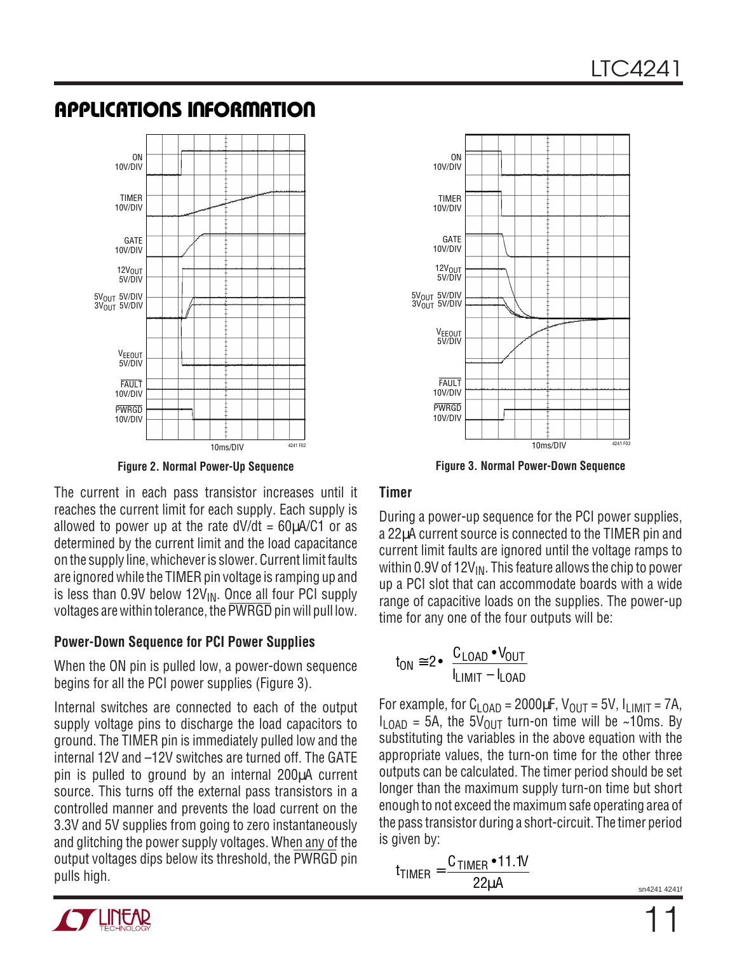

The current in each pass transistor increases until it reaches the current limit for each supply. Each supply is allowed to power up at the rate  $dV/dt = 60 \mu A/C1$  or as determined by the current limit and the load capacitance on the supply line, whichever is slower. Current limit faults are ignored while the TIMER pin voltage is ramping up and is less than  $0.9V$  below  $12V_{\text{IN}}$ . Once all four PCI supply voltages are within tolerance, the PWRGD pin will pull low.

#### **Power-Down Sequence for PCI Power Supplies**

When the ON pin is pulled low, a power-down sequence begins for all the PCI power supplies (Figure 3).

Internal switches are connected to each of the output supply voltage pins to discharge the load capacitors to ground. The TIMER pin is immediately pulled low and the internal 12V and –12V switches are turned off. The GATE pin is pulled to ground by an internal 200µA current source. This turns off the external pass transistors in a controlled manner and prevents the load current on the 3.3V and 5V supplies from going to zero instantaneously and glitching the power supply voltages. When any of the output voltages dips below its threshold, the PWRGD pin pulls high.



**Figure 2. Normal Power-Up Sequence Figure 3. Normal Power-Down Sequence**

#### **Timer**

During a power-up sequence for the PCI power supplies, a 22µA current source is connected to the TIMER pin and current limit faults are ignored until the voltage ramps to within 0.9V of  $12V_{IN}$ . This feature allows the chip to power up a PCI slot that can accommodate boards with a wide range of capacitive loads on the supplies. The power-up time for any one of the four outputs will be:

$$
t_{ON} \cong 2 \cdot \left( \frac{C_{LOAD} \cdot V_{OUT}}{I_{LIMIT} - I_{LOAD}} \right)
$$

For example, for  $C_{LOAD} = 2000 \mu F$ ,  $V_{OIII} = 5V$ ,  $I_{LIMIT} = 7A$ ,  $I<sub>I OAD</sub>$  = 5A, the 5V<sub>OUT</sub> turn-on time will be ~10ms. By substituting the variables in the above equation with the appropriate values, the turn-on time for the other three outputs can be calculated. The timer period should be set longer than the maximum supply turn-on time but short enough to not exceed the maximum safe operating area of the pass transistor during a short-circuit. The timer period is given by:

$$
t_{TIMER} = \frac{C_{TIMER} \cdot 11.1V}{22\mu A}
$$

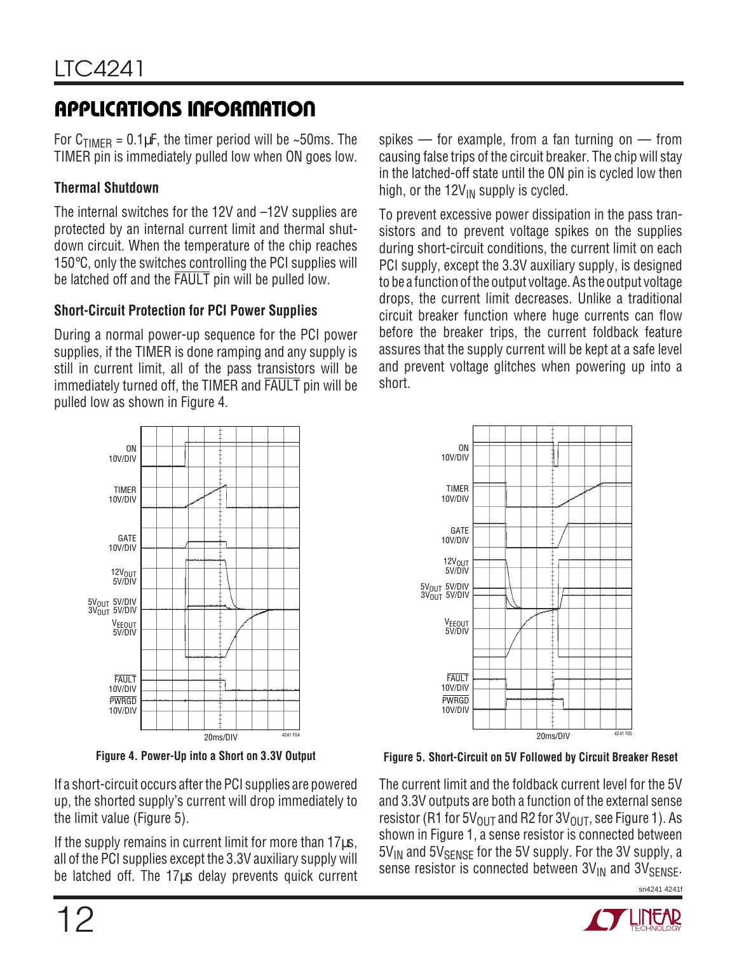For  $C_{\text{TIMFR}} = 0.1 \mu F$ , the timer period will be ~50ms. The TIMER pin is immediately pulled low when ON goes low.

### **Thermal Shutdown**

The internal switches for the 12V and –12V supplies are protected by an internal current limit and thermal shutdown circuit. When the temperature of the chip reaches 150°C, only the switches controlling the PCI supplies will be latched off and the FAULT pin will be pulled low.

### **Short-Circuit Protection for PCI Power Supplies**

During a normal power-up sequence for the PCI power supplies, if the TIMER is done ramping and any supply is still in current limit, all of the pass transistors will be immediately turned off, the TIMER and FAULT pin will be pulled low as shown in Figure 4.

ON 10V/DIV TIMER 10V/DIV GATE 10V/DIV **PWRGD** 10V/DIV 5V<sub>OUT</sub> 5V/DIV<br>3V<sub>OUT</sub> 5V/DIV 12V<sub>OUT</sub> VEEOUT 5V/DIV FAULT 10V/DIV  $20me/DN$ 

If a short-circuit occurs after the PCI supplies are powered up, the shorted supply's current will drop immediately to the limit value (Figure 5).

If the supply remains in current limit for more than 17µs, all of the PCI supplies except the 3.3V auxiliary supply will be latched off. The 17µs delay prevents quick current spikes  $-$  for example, from a fan turning on  $-$  from causing false trips of the circuit breaker. The chip will stay in the latched-off state until the ON pin is cycled low then high, or the  $12V_{IN}$  supply is cycled.

To prevent excessive power dissipation in the pass transistors and to prevent voltage spikes on the supplies during short-circuit conditions, the current limit on each PCI supply, except the 3.3V auxiliary supply, is designed to be a function of the output voltage. As the output voltage drops, the current limit decreases. Unlike a traditional circuit breaker function where huge currents can flow before the breaker trips, the current foldback feature assures that the supply current will be kept at a safe level and prevent voltage glitches when powering up into a short.



**Figure 4. Power-Up into a Short on 3.3V Output Figure 5. Short-Circuit on 5V Followed by Circuit Breaker Reset**

The current limit and the foldback current level for the 5V and 3.3V outputs are both a function of the external sense resistor (R1 for  $5V_{OIII}$  and R2 for  $3V_{OIII}$ , see Figure 1). As shown in Figure 1, a sense resistor is connected between  $5V_{IN}$  and  $5V_{SENSE}$  for the 5V supply. For the 3V supply, a sense resistor is connected between  $3V_{IN}$  and  $3V_{SENSE}$ .

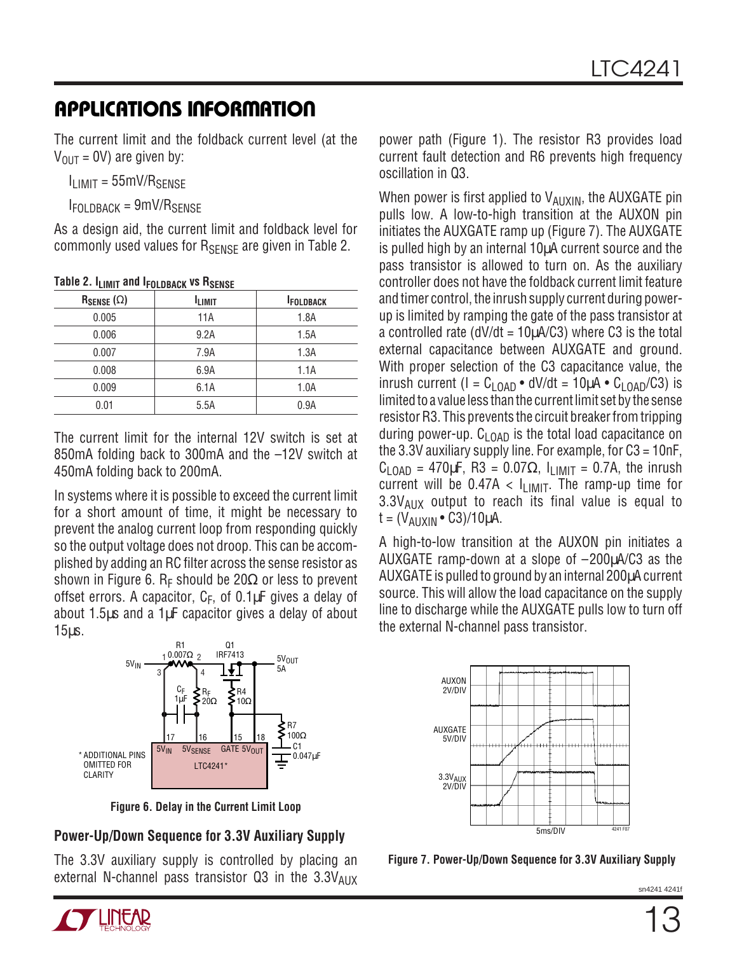The current limit and the foldback current level (at the  $V_{OUT} = 0V$ ) are given by:

 $I<sub>LIMIT</sub> = 55mV/R<sub>SENSE</sub>$ 

 $I_{FOL}$  DRACK = 9mV/RSENSE

As a design aid, the current limit and foldback level for commonly used values for  $R_{\text{SFNSF}}$  are given in Table 2.

| TODIO E. ILIMII AND IFULDBACK TO ISENSE |                 |  |  |  |  |
|-----------------------------------------|-----------------|--|--|--|--|
| <b>ILIMIT</b>                           | <b>FOLDBACK</b> |  |  |  |  |
| 11A                                     | 1.8A            |  |  |  |  |
| 9.2A                                    | 1.5A            |  |  |  |  |
| 7.9A                                    | 1.3A            |  |  |  |  |
| 6.9A                                    | 1.1A            |  |  |  |  |
| 6.1A                                    | 1.0A            |  |  |  |  |
| 5.5A                                    | 0.9A            |  |  |  |  |
|                                         |                 |  |  |  |  |

**Table 2. ILIMIT and IFOLDBACK VS ROENCE** 

The current limit for the internal 12V switch is set at 850mA folding back to 300mA and the –12V switch at 450mA folding back to 200mA.

In systems where it is possible to exceed the current limit for a short amount of time, it might be necessary to prevent the analog current loop from responding quickly so the output voltage does not droop. This can be accomplished by adding an RC filter across the sense resistor as shown in Figure 6. R<sub>F</sub> should be 20 $\Omega$  or less to prevent offset errors. A capacitor,  $C_F$ , of 0.1 $\mu$ F gives a delay of about 1.5µs and a 1µF capacitor gives a delay of about 15µs.



**Figure 6. Delay in the Current Limit Loop**

#### **Power-Up/Down Sequence for 3.3V Auxiliary Supply**

The 3.3V auxiliary supply is controlled by placing an external N-channel pass transistor  $Q3$  in the  $3.3V_{AUX}$ 



power path (Figure 1). The resistor R3 provides load current fault detection and R6 prevents high frequency oscillation in Q3.

When power is first applied to  $V_{\text{AUXIN}}$ , the AUXGATE pin pulls low. A low-to-high transition at the AUXON pin initiates the AUXGATE ramp up (Figure 7). The AUXGATE is pulled high by an internal 10µA current source and the pass transistor is allowed to turn on. As the auxiliary controller does not have the foldback current limit feature and timer control, the inrush supply current during powerup is limited by ramping the gate of the pass transistor at a controlled rate  $(dV/dt = 10\mu A/C3)$  where C3 is the total external capacitance between AUXGATE and ground. With proper selection of the C3 capacitance value, the inrush current ( $I = C_{LOAD} \cdot dV/dt = 10\mu A \cdot C_{LOAD}/C3$ ) is limited to a value less than the current limit set by the sense resistor R3. This prevents the circuit breaker from tripping during power-up.  $C_{1,0AD}$  is the total load capacitance on the 3.3V auxiliary supply line. For example, for C3 = 10nF,  $C_{\text{LOAD}} = 470 \mu$ F, R3 = 0.07 $\Omega$ ,  $I_{\text{LIMIT}} = 0.7$ A, the inrush current will be  $0.47A < I_{LIMIT}$ . The ramp-up time for  $3.3V_{AUX}$  output to reach its final value is equal to  $t = (V_{\text{AIIXIN}} \cdot C3)/10 \mu A$ .

A high-to-low transition at the AUXON pin initiates a AUXGATE ramp-down at a slope of –200µA/C3 as the AUXGATE is pulled to ground by an internal 200µA current source. This will allow the load capacitance on the supply line to discharge while the AUXGATE pulls low to turn off the external N-channel pass transistor.



**Figure 7. Power-Up/Down Sequence for 3.3V Auxiliary Supply**

sn4241 4241f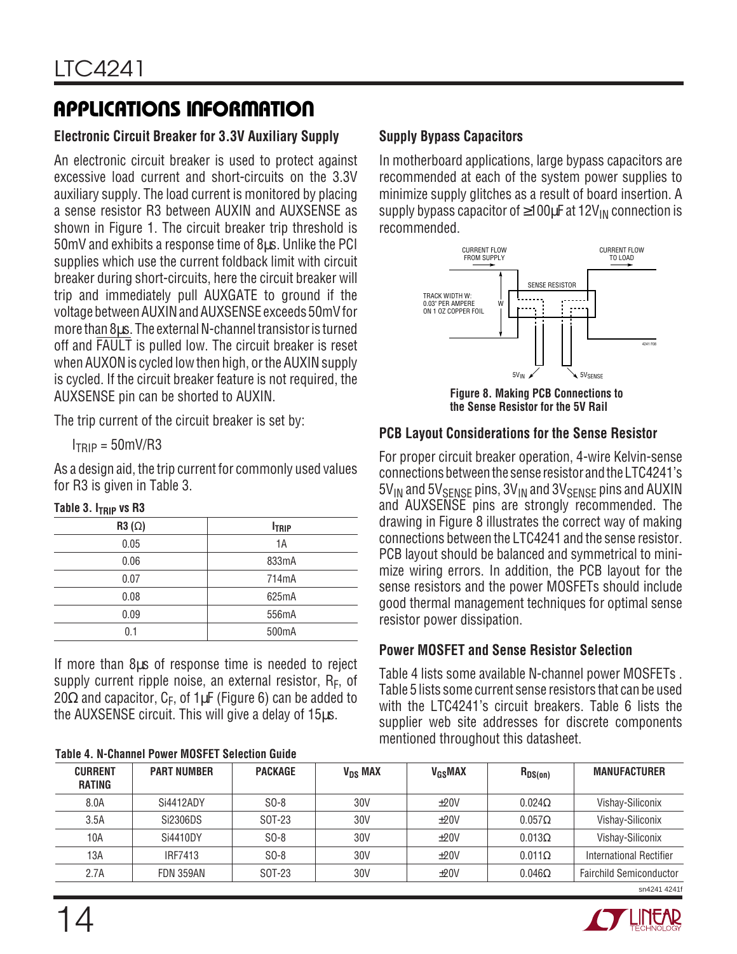#### **Electronic Circuit Breaker for 3.3V Auxiliary Supply**

An electronic circuit breaker is used to protect against excessive load current and short-circuits on the 3.3V auxiliary supply. The load current is monitored by placing a sense resistor R3 between AUXIN and AUXSENSE as shown in Figure 1. The circuit breaker trip threshold is 50mV and exhibits a response time of 8µs. Unlike the PCI supplies which use the current foldback limit with circuit breaker during short-circuits, here the circuit breaker will trip and immediately pull AUXGATE to ground if the voltage between AUXIN and AUXSENSE exceeds 50mV for more than 8µs. The external N-channel transistor is turned off and FAULT is pulled low. The circuit breaker is reset when AUXON is cycled low then high, or the AUXIN supply is cycled. If the circuit breaker feature is not required, the AUXSENSE pin can be shorted to AUXIN.

The trip current of the circuit breaker is set by:

 $I<sub>TRIP</sub> = 50mV/R3$ 

As a design aid, the trip current for commonly used values for R<sub>3</sub> is given in Table 3.

| Table 3. $I_{TRIP}$ vs R3 |                    |  |  |
|---------------------------|--------------------|--|--|
| $R3(\Omega)$              | <b>ITRIP</b>       |  |  |
| 0.05                      | 1A                 |  |  |
| 0.06                      | 833mA              |  |  |
| 0.07                      | 714 <sub>m</sub> A |  |  |
| 0.08                      | 625 <sub>m</sub> A |  |  |
| 0.09                      | 556 <sub>m</sub> A |  |  |
| 0.1                       | 500 <sub>m</sub> A |  |  |

If more than 8µs of response time is needed to reject supply current ripple noise, an external resistor,  $R_F$ , of 20 $\Omega$  and capacitor, C<sub>F</sub>, of 1µF (Figure 6) can be added to the AUXSENSE circuit. This will give a delay of 15µs.

| <b>Table 4. N-Channel Power MOSFET Selection Guide</b> |  |  |
|--------------------------------------------------------|--|--|
|                                                        |  |  |

#### **Supply Bypass Capacitors**

In motherboard applications, large bypass capacitors are recommended at each of the system power supplies to minimize supply glitches as a result of board insertion. A supply bypass capacitor of  $\geq 100 \mu$ F at 12V<sub>IN</sub> connection is recommended.



**the Sense Resistor for the 5V Rail**

#### **PCB Layout Considerations for the Sense Resistor**

For proper circuit breaker operation, 4-wire Kelvin-sense connections between the sense resistor and the LTC4241's  $5V_{IN}$  and  $5V_{SENSE}$  pins,  $3V_{IN}$  and  $3V_{SENSE}$  pins and AUXIN and AUXSENSE pins are strongly recommended. The drawing in Figure 8 illustrates the correct way of making connections between the LTC4241 and the sense resistor. PCB layout should be balanced and symmetrical to minimize wiring errors. In addition, the PCB layout for the sense resistors and the power MOSFETs should include good thermal management techniques for optimal sense resistor power dissipation.

#### **Power MOSFET and Sense Resistor Selection**

Table 4 lists some available N-channel power MOSFETs . Table 5 lists some current sense resistors that can be used with the LTC4241's circuit breakers. Table 6 lists the supplier web site addresses for discrete components mentioned throughout this datasheet.

| <b>CURRENT</b><br>RATING | <b>PART NUMBER</b> | <b>PACKAGE</b> | V <sub>DS</sub> MAX | V <sub>GS</sub> MAX | $R_{DS(on)}$  | <b>MANUFACTURER</b>            |
|--------------------------|--------------------|----------------|---------------------|---------------------|---------------|--------------------------------|
| 8.0A                     | Si4412ADY          | $SO-8$         | 30V                 | ±20V                | $0.024\Omega$ | Vishay-Siliconix               |
| 3.5A                     | Si2306DS           | SOT-23         | 30V                 | ±20V                | $0.057\Omega$ | Vishay-Siliconix               |
| 10A                      | Si4410DY           | $SO-8$         | 30V                 | ±20V                | $0.013\Omega$ | Vishay-Siliconix               |
| 13A                      | <b>IRF7413</b>     | $SO-8$         | 30V                 | ±20V                | $0.011\Omega$ | International Rectifier        |
| 2.7A                     | <b>FDN 359AN</b>   | SOT-23         | 30V                 | ±20V                | $0.046\Omega$ | <b>Fairchild Semiconductor</b> |
|                          |                    |                |                     |                     |               |                                |

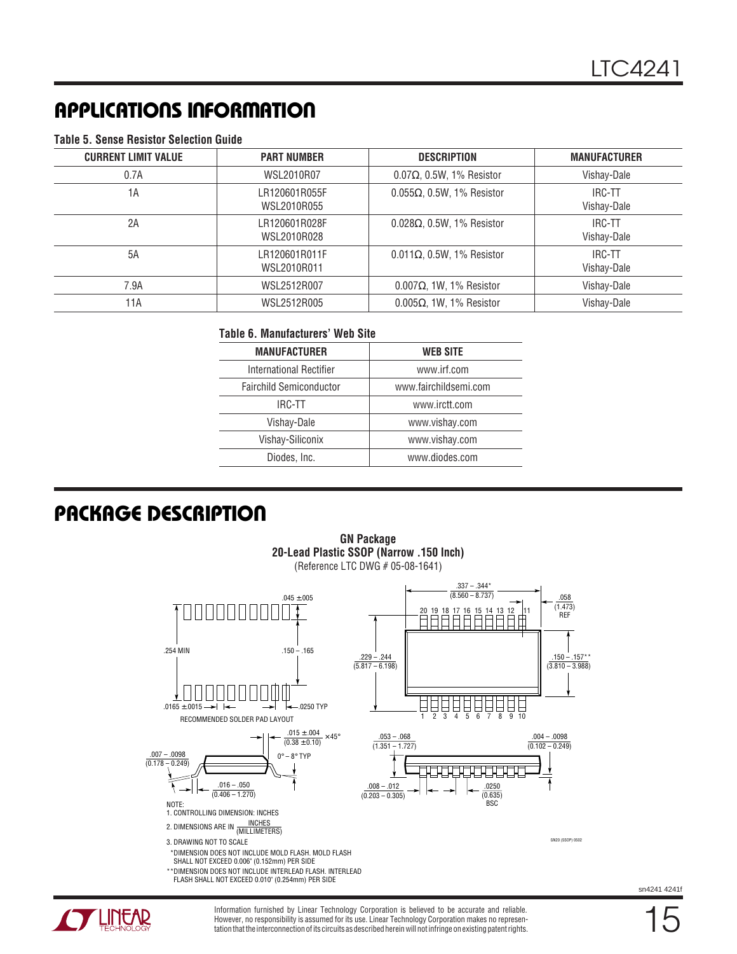| <b>CURRENT LIMIT VALUE</b> | <b>PART NUMBER</b>           | <b>DESCRIPTION</b>                | <b>MANUFACTURER</b>   |
|----------------------------|------------------------------|-----------------------------------|-----------------------|
| 0.7A                       | <b>WSL2010R07</b>            | $0.07\Omega$ , 0.5W, 1% Resistor  | Vishay-Dale           |
| 1A                         | LR120601R055F<br>WSL2010R055 | $0.055\Omega$ , 0.5W, 1% Resistor | IRC-TT<br>Vishay-Dale |
| 2A                         | LR120601R028F<br>WSL2010R028 | $0.028\Omega$ , 0.5W, 1% Resistor | IRC-TT<br>Vishay-Dale |
| 5A                         | LR120601R011F<br>WSL2010R011 | $0.011\Omega$ , 0.5W, 1% Resistor | IRC-TT<br>Vishay-Dale |
| 7.9A                       | WSL2512R007                  | $0.007\Omega$ , 1W, 1% Resistor   | Vishay-Dale           |
| 11A                        | WSL2512R005                  | $0.005\Omega$ , 1W, 1% Resistor   | Vishay-Dale           |

#### **Table 5. Sense Resistor Selection Guide**

#### **Table 6. Manufacturers' Web Site**

| <b>MANUFACTURER</b>            | <b>WEB SITE</b>       |
|--------------------------------|-----------------------|
| International Rectifier        | www.irf.com           |
| <b>Fairchild Semiconductor</b> | www.fairchildsemi.com |
| IRC-TT                         | www.irctt.com         |
| Vishay-Dale                    | www.vishay.com        |
| Vishay-Siliconix               | www.vishay.com        |
| Diodes, Inc.                   | www.diodes.com        |

**GN Package**

### **PACKAGE DESCRIPTION**



sn4241 4241f



Information furnished by Linear Technology Corporation is believed to be accurate and reliable. However, no responsibility is assumed for its use. Linear Technology Corporation makes no representation that the interconnection of its circuits as described herein will not infringe on existing patent rights. 15